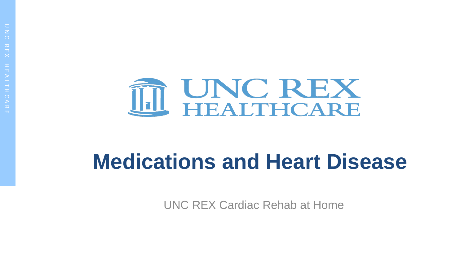

# **Medications and Heart Disease**

UNC REX Cardiac Rehab at Home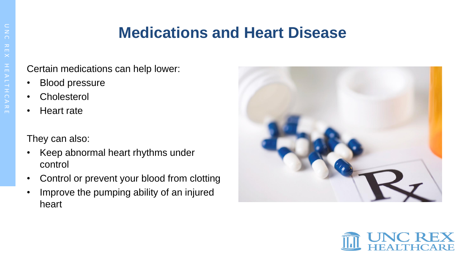#### **Medications and Heart Disease**

Certain medications can help lower:

- Blood pressure
- Cholesterol
- Heart rate

They can also:

- Keep abnormal heart rhythms under control
- Control or prevent your blood from clotting
- Improve the pumping ability of an injured heart



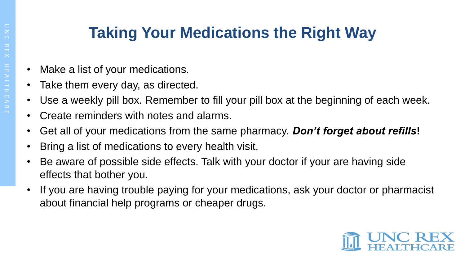# O N C R E X I H A L T I C A R E

## **Taking Your Medications the Right Way**

- Make a list of your medications.
- Take them every day, as directed.
- Use a weekly pill box. Remember to fill your pill box at the beginning of each week.
- Create reminders with notes and alarms.
- Get all of your medications from the same pharmacy. *Don't forget about refills***!**
- Bring a list of medications to every health visit.
- Be aware of possible side effects. Talk with your doctor if your are having side effects that bother you.
- If you are having trouble paying for your medications, ask your doctor or pharmacist about financial help programs or cheaper drugs.

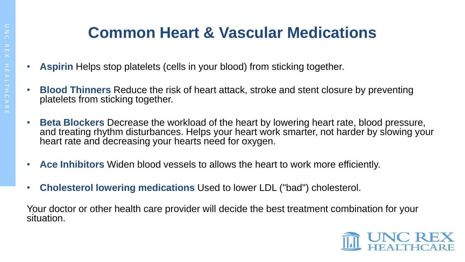### **Common Heart & Vascular Medications**

- **Aspirin** Helps stop platelets (cells in your blood) from sticking together.
- **Blood Thinners** Reduce the risk of heart attack, stroke and stent closure by preventing platelets from sticking together.
- **Beta Blockers** Decrease the workload of the heart by lowering heart rate, blood pressure, and treating rhythm disturbances. Helps your heart work smarter, not harder by slowing your heart rate and decreasing your hearts need for oxygen.
- **Ace Inhibitors** Widen blood vessels to allows the heart to work more efficiently.
- **Cholesterol lowering medications** Used to lower LDL ("bad") cholesterol.

Your doctor or other health care provider will decide the best treatment combination for your situation.